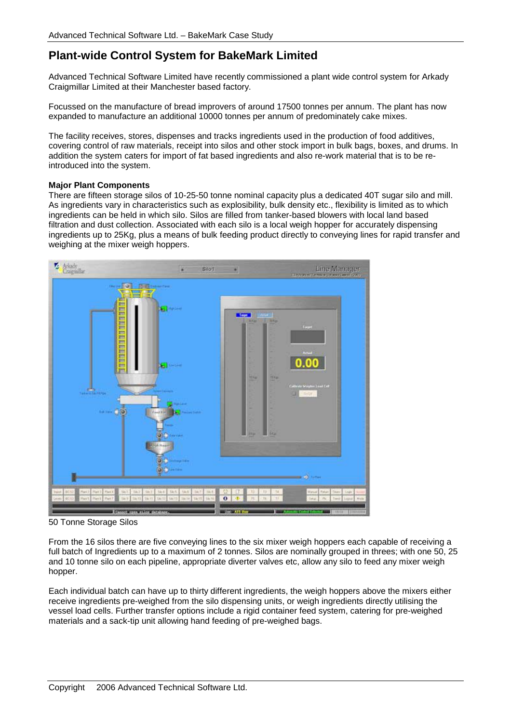# **Plant-wide Control System for BakeMark Limited**

Advanced Technical Software Limited have recently commissioned a plant wide control system for Arkady Craigmillar Limited at their Manchester based factory.

Focussed on the manufacture of bread improvers of around 17500 tonnes per annum. The plant has now expanded to manufacture an additional 10000 tonnes per annum of predominately cake mixes.

The facility receives, stores, dispenses and tracks ingredients used in the production of food additives, covering control of raw materials, receipt into silos and other stock import in bulk bags, boxes, and drums. In addition the system caters for import of fat based ingredients and also re-work material that is to be reintroduced into the system.

# **Major Plant Components**

There are fifteen storage silos of 10-25-50 tonne nominal capacity plus a dedicated 40T sugar silo and mill. As ingredients vary in characteristics such as explosibility, bulk density etc., flexibility is limited as to which ingredients can be held in which silo. Silos are filled from tanker-based blowers with local land based filtration and dust collection. Associated with each silo is a local weigh hopper for accurately dispensing ingredients up to 25Kg, plus a means of bulk feeding product directly to conveying lines for rapid transfer and weighing at the mixer weigh hoppers.



50 Tonne Storage Silos

From the 16 silos there are five conveying lines to the six mixer weigh hoppers each capable of receiving a full batch of Ingredients up to a maximum of 2 tonnes. Silos are nominally grouped in threes; with one 50, 25 and 10 tonne silo on each pipeline, appropriate diverter valves etc, allow any silo to feed any mixer weigh hopper.

Each individual batch can have up to thirty different ingredients, the weigh hoppers above the mixers either receive ingredients pre-weighed from the silo dispensing units, or weigh ingredients directly utilising the vessel load cells. Further transfer options include a rigid container feed system, catering for pre-weighed materials and a sack-tip unit allowing hand feeding of pre-weighed bags.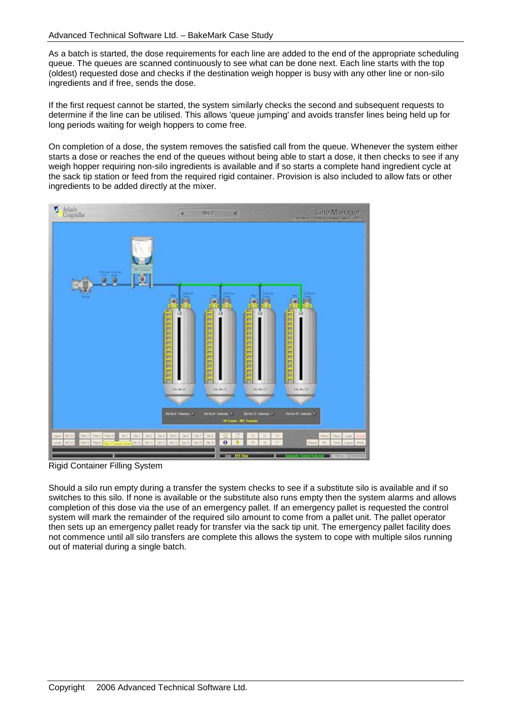As a batch is started, the dose requirements for each line are added to the end of the appropriate scheduling queue. The queues are scanned continuously to see what can be done next. Each line starts with the top (oldest) requested dose and checks if the destination weigh hopper is busy with any other line or non-silo ingredients and if free, sends the dose.

If the first request cannot be started, the system similarly checks the second and subsequent requests to determine if the line can be utilised. This allows 'queue jumping' and avoids transfer lines being held up for long periods waiting for weigh hoppers to come free.

On completion of a dose, the system removes the satisfied call from the queue. Whenever the system either starts a dose or reaches the end of the queues without being able to start a dose, it then checks to see if any weigh hopper requiring non-silo ingredients is available and if so starts a complete hand ingredient cycle at the sack tip station or feed from the required rigid container. Provision is also included to allow fats or other ingredients to be added directly at the mixer.



Rigid Container Filling System

Should a silo run empty during a transfer the system checks to see if a substitute silo is available and if so switches to this silo. If none is available or the substitute also runs empty then the system alarms and allows completion of this dose via the use of an emergency pallet. If an emergency pallet is requested the control system will mark the remainder of the required silo amount to come from a pallet unit. The pallet operator then sets up an emergency pallet ready for transfer via the sack tip unit. The emergency pallet facility does not commence until all silo transfers are complete this allows the system to cope with multiple silos running out of material during a single batch.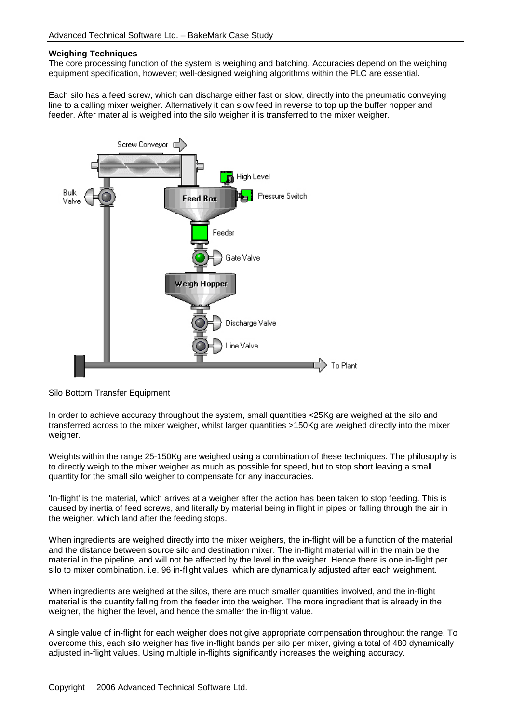#### **Weighing Techniques**

The core processing function of the system is weighing and batching. Accuracies depend on the weighing equipment specification, however; well-designed weighing algorithms within the PLC are essential.

Each silo has a feed screw, which can discharge either fast or slow, directly into the pneumatic conveying line to a calling mixer weigher. Alternatively it can slow feed in reverse to top up the buffer hopper and feeder. After material is weighed into the silo weigher it is transferred to the mixer weigher.



Silo Bottom Transfer Equipment

In order to achieve accuracy throughout the system, small quantities <25Kg are weighed at the silo and transferred across to the mixer weigher, whilst larger quantities >150Kg are weighed directly into the mixer weigher.

Weights within the range 25-150Kg are weighed using a combination of these techniques. The philosophy is to directly weigh to the mixer weigher as much as possible for speed, but to stop short leaving a small quantity for the small silo weigher to compensate for any inaccuracies.

'In-flight' is the material, which arrives at a weigher after the action has been taken to stop feeding. This is caused by inertia of feed screws, and literally by material being in flight in pipes or falling through the air in the weigher, which land after the feeding stops.

When ingredients are weighed directly into the mixer weighers, the in-flight will be a function of the material and the distance between source silo and destination mixer. The in-flight material will in the main be the material in the pipeline, and will not be affected by the level in the weigher. Hence there is one in-flight per silo to mixer combination. i.e. 96 in-flight values, which are dynamically adjusted after each weighment.

When ingredients are weighed at the silos, there are much smaller quantities involved, and the in-flight material is the quantity falling from the feeder into the weigher. The more ingredient that is already in the weigher, the higher the level, and hence the smaller the in-flight value.

A single value of in-flight for each weigher does not give appropriate compensation throughout the range. To overcome this, each silo weigher has five in-flight bands per silo per mixer, giving a total of 480 dynamically adjusted in-flight values. Using multiple in-flights significantly increases the weighing accuracy.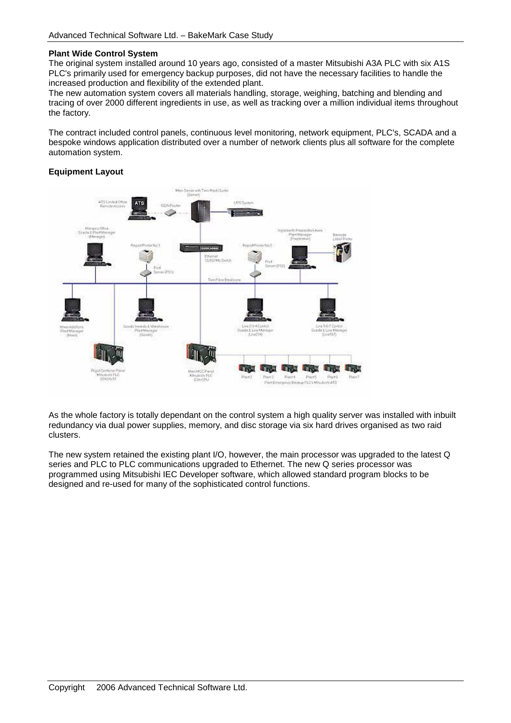# **Plant Wide Control System**

The original system installed around 10 years ago, consisted of a master Mitsubishi A3A PLC with six A1S PLC's primarily used for emergency backup purposes, did not have the necessary facilities to handle the increased production and flexibility of the extended plant.

The new automation system covers all materials handling, storage, weighing, batching and blending and tracing of over 2000 different ingredients in use, as well as tracking over a million individual items throughout the factory.

The contract included control panels, continuous level monitoring, network equipment, PLC's, SCADA and a bespoke windows application distributed over a number of network clients plus all software for the complete automation system.

# **Equipment Layout**



As the whole factory is totally dependant on the control system a high quality server was installed with inbuilt redundancy via dual power supplies, memory, and disc storage via six hard drives organised as two raid clusters.

The new system retained the existing plant I/O, however, the main processor was upgraded to the latest Q series and PLC to PLC communications upgraded to Ethernet. The new Q series processor was programmed using Mitsubishi IEC Developer software, which allowed standard program blocks to be designed and re-used for many of the sophisticated control functions.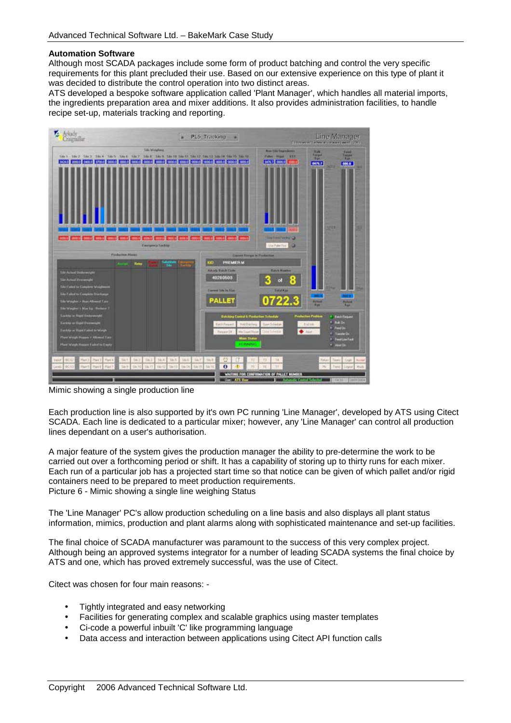### **Automation Software**

Although most SCADA packages include some form of product batching and control the very specific requirements for this plant precluded their use. Based on our extensive experience on this type of plant it was decided to distribute the control operation into two distinct areas.

ATS developed a bespoke software application called 'Plant Manager', which handles all material imports, the ingredients preparation area and mixer additions. It also provides administration facilities, to handle recipe set-up, materials tracking and reporting.



Mimic showing a single production line

Each production line is also supported by it's own PC running 'Line Manager', developed by ATS using Citect SCADA. Each line is dedicated to a particular mixer; however, any 'Line Manager' can control all production lines dependant on a user's authorisation.

A major feature of the system gives the production manager the ability to pre-determine the work to be carried out over a forthcoming period or shift. It has a capability of storing up to thirty runs for each mixer. Each run of a particular job has a projected start time so that notice can be given of which pallet and/or rigid containers need to be prepared to meet production requirements. Picture 6 - Mimic showing a single line weighing Status

The 'Line Manager' PC's allow production scheduling on a line basis and also displays all plant status information, mimics, production and plant alarms along with sophisticated maintenance and set-up facilities.

The final choice of SCADA manufacturer was paramount to the success of this very complex project. Although being an approved systems integrator for a number of leading SCADA systems the final choice by ATS and one, which has proved extremely successful, was the use of Citect.

Citect was chosen for four main reasons: -

- Tightly integrated and easy networking
- Facilities for generating complex and scalable graphics using master templates
- Ci-code a powerful inbuilt 'C' like programming language
- Data access and interaction between applications using Citect API function calls